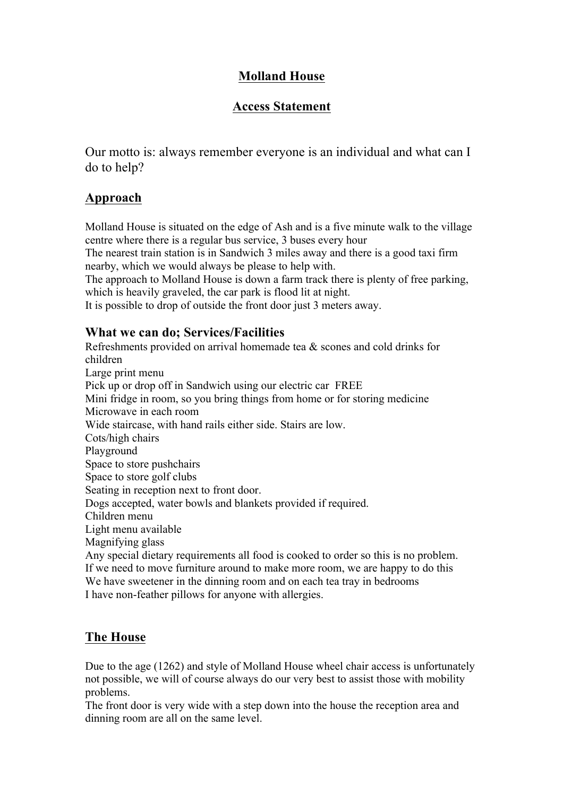## **Molland House**

# **Access Statement**

Our motto is: always remember everyone is an individual and what can I do to help?

# **Approach**

Molland House is situated on the edge of Ash and is a five minute walk to the village centre where there is a regular bus service, 3 buses every hour

The nearest train station is in Sandwich 3 miles away and there is a good taxi firm nearby, which we would always be please to help with.

The approach to Molland House is down a farm track there is plenty of free parking, which is heavily graveled, the car park is flood lit at night.

It is possible to drop of outside the front door just 3 meters away.

#### **What we can do; Services/Facilities**

Refreshments provided on arrival homemade tea & scones and cold drinks for children Large print menu Pick up or drop off in Sandwich using our electric car FREE Mini fridge in room, so you bring things from home or for storing medicine Microwave in each room Wide staircase, with hand rails either side. Stairs are low. Cots/high chairs Playground Space to store pushchairs Space to store golf clubs Seating in reception next to front door. Dogs accepted, water bowls and blankets provided if required. Children menu Light menu available Magnifying glass Any special dietary requirements all food is cooked to order so this is no problem. If we need to move furniture around to make more room, we are happy to do this We have sweetener in the dinning room and on each tea tray in bedrooms I have non-feather pillows for anyone with allergies.

# **The House**

Due to the age (1262) and style of Molland House wheel chair access is unfortunately not possible, we will of course always do our very best to assist those with mobility problems.

The front door is very wide with a step down into the house the reception area and dinning room are all on the same level.